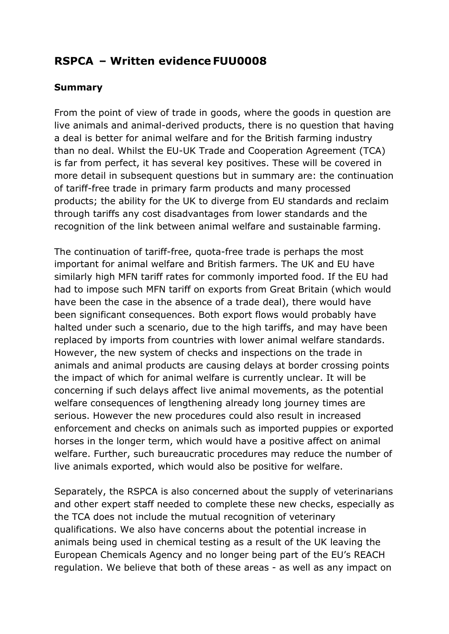# **RSPCA – Written evidence FUU0008**

#### **Summary**

From the point of view of trade in goods, where the goods in question are live animals and animal-derived products, there is no question that having a deal is better for animal welfare and for the British farming industry than no deal. Whilst the EU-UK Trade and Cooperation Agreement (TCA) is far from perfect, it has several key positives. These will be covered in more detail in subsequent questions but in summary are: the continuation of tariff-free trade in primary farm products and many processed products; the ability for the UK to diverge from EU standards and reclaim through tariffs any cost disadvantages from lower standards and the recognition of the link between animal welfare and sustainable farming.

The continuation of tariff-free, quota-free trade is perhaps the most important for animal welfare and British farmers. The UK and EU have similarly high MFN tariff rates for commonly imported food. If the EU had had to impose such MFN tariff on exports from Great Britain (which would have been the case in the absence of a trade deal), there would have been significant consequences. Both export flows would probably have halted under such a scenario, due to the high tariffs, and may have been replaced by imports from countries with lower animal welfare standards. However, the new system of checks and inspections on the trade in animals and animal products are causing delays at border crossing points the impact of which for animal welfare is currently unclear. It will be concerning if such delays affect live animal movements, as the potential welfare consequences of lengthening already long journey times are serious. However the new procedures could also result in increased enforcement and checks on animals such as imported puppies or exported horses in the longer term, which would have a positive affect on animal welfare. Further, such bureaucratic procedures may reduce the number of live animals exported, which would also be positive for welfare.

Separately, the RSPCA is also concerned about the supply of veterinarians and other expert staff needed to complete these new checks, especially as the TCA does not include the mutual recognition of veterinary qualifications. We also have concerns about the potential increase in animals being used in chemical testing as a result of the UK leaving the European Chemicals Agency and no longer being part of the EU's REACH regulation. We believe that both of these areas - as well as any impact on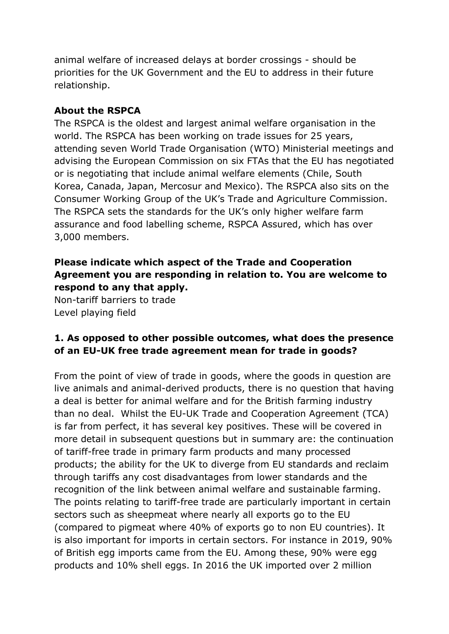animal welfare of increased delays at border crossings - should be priorities for the UK Government and the EU to address in their future relationship.

#### **About the RSPCA**

The RSPCA is the oldest and largest animal welfare organisation in the world. The RSPCA has been working on trade issues for 25 years, attending seven World Trade Organisation (WTO) Ministerial meetings and advising the European Commission on six FTAs that the EU has negotiated or is negotiating that include animal welfare elements (Chile, South Korea, Canada, Japan, Mercosur and Mexico). The RSPCA also sits on the Consumer Working Group of the UK's Trade and Agriculture Commission. The RSPCA sets the standards for the UK's only higher welfare farm assurance and food labelling scheme, RSPCA Assured, which has over 3,000 members.

## **Please indicate which aspect of the Trade and Cooperation Agreement you are responding in relation to. You are welcome to respond to any that apply.**

Non-tariff barriers to trade Level playing field

# **1. As opposed to other possible outcomes, what does the presence of an EU-UK free trade agreement mean for trade in goods?**

From the point of view of trade in goods, where the goods in question are live animals and animal-derived products, there is no question that having a deal is better for animal welfare and for the British farming industry than no deal. Whilst the EU-UK Trade and Cooperation Agreement (TCA) is far from perfect, it has several key positives. These will be covered in more detail in subsequent questions but in summary are: the continuation of tariff-free trade in primary farm products and many processed products; the ability for the UK to diverge from EU standards and reclaim through tariffs any cost disadvantages from lower standards and the recognition of the link between animal welfare and sustainable farming. The points relating to tariff-free trade are particularly important in certain sectors such as sheepmeat where nearly all exports go to the EU (compared to pigmeat where 40% of exports go to non EU countries). It is also important for imports in certain sectors. For instance in 2019, 90% of British egg imports came from the EU. Among these, 90% were egg products and 10% shell eggs. In 2016 the UK imported over 2 million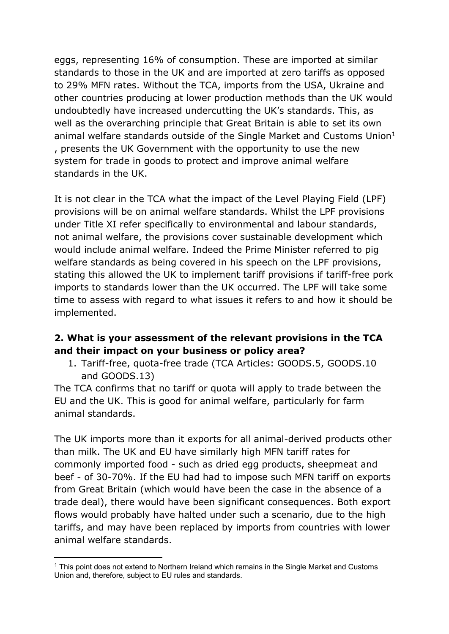eggs, representing 16% of consumption. These are imported at similar standards to those in the UK and are imported at zero tariffs as opposed to 29% MFN rates. Without the TCA, imports from the USA, Ukraine and other countries producing at lower production methods than the UK would undoubtedly have increased undercutting the UK's standards. This, as well as the overarching principle that Great Britain is able to set its own animal welfare standards outside of the Single Market and Customs Union<sup>1</sup> , presents the UK Government with the opportunity to use the new system for trade in goods to protect and improve animal welfare standards in the UK.

It is not clear in the TCA what the impact of the Level Playing Field (LPF) provisions will be on animal welfare standards. Whilst the LPF provisions under Title XI refer specifically to environmental and labour standards, not animal welfare, the provisions cover sustainable development which would include animal welfare. Indeed the Prime Minister referred to pig welfare standards as being covered in his speech on the LPF provisions, stating this allowed the UK to implement tariff provisions if tariff-free pork imports to standards lower than the UK occurred. The LPF will take some time to assess with regard to what issues it refers to and how it should be implemented.

## **2. What is your assessment of the relevant provisions in the TCA and their impact on your business or policy area?**

1. Tariff-free, quota-free trade (TCA Articles: GOODS.5, GOODS.10 and GOODS.13)

The TCA confirms that no tariff or quota will apply to trade between the EU and the UK. This is good for animal welfare, particularly for farm animal standards.

The UK imports more than it exports for all animal-derived products other than milk. The UK and EU have similarly high MFN tariff rates for commonly imported food - such as dried egg products, sheepmeat and beef - of 30-70%. If the EU had had to impose such MFN tariff on exports from Great Britain (which would have been the case in the absence of a trade deal), there would have been significant consequences. Both export flows would probably have halted under such a scenario, due to the high tariffs, and may have been replaced by imports from countries with lower animal welfare standards.

<sup>&</sup>lt;sup>1</sup> This point does not extend to Northern Ireland which remains in the Single Market and Customs Union and, therefore, subject to EU rules and standards.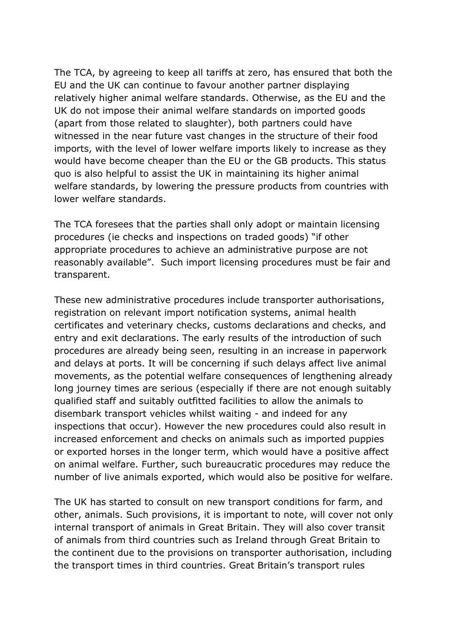The TCA, by agreeing to keep all tariffs at zero, has ensured that both the EU and the UK can continue to favour another partner displaying relatively higher animal welfare standards. Otherwise, as the EU and the UK do not impose their animal welfare standards on imported goods (apart from those related to slaughter), both partners could have witnessed in the near future vast changes in the structure of their food imports, with the level of lower welfare imports likely to increase as they would have become cheaper than the EU or the GB products. This status quo is also helpful to assist the UK in maintaining its higher animal welfare standards, by lowering the pressure products from countries with lower welfare standards.

The TCA foresees that the parties shall only adopt or maintain licensing procedures (ie checks and inspections on traded goods) "if other appropriate procedures to achieve an administrative purpose are not reasonably available". Such import licensing procedures must be fair and transparent.

These new administrative procedures include transporter authorisations, registration on relevant import notification systems, animal health certificates and veterinary checks, customs declarations and checks, and entry and exit declarations. The early results of the introduction of such procedures are already being seen, resulting in an increase in paperwork and delays at ports. It will be concerning if such delays affect live animal movements, as the potential welfare consequences of lengthening already long journey times are serious (especially if there are not enough suitably qualified staff and suitably outfitted facilities to allow the animals to disembark transport vehicles whilst waiting - and indeed for any inspections that occur). However the new procedures could also result in increased enforcement and checks on animals such as imported puppies or exported horses in the longer term, which would have a positive affect on animal welfare. Further, such bureaucratic procedures may reduce the number of live animals exported, which would also be positive for welfare.

The UK has started to consult on new transport conditions for farm, and other, animals. Such provisions, it is important to note, will cover not only internal transport of animals in Great Britain. They will also cover transit of animals from third countries such as Ireland through Great Britain to the continent due to the provisions on transporter authorisation, including the transport times in third countries. Great Britain's transport rules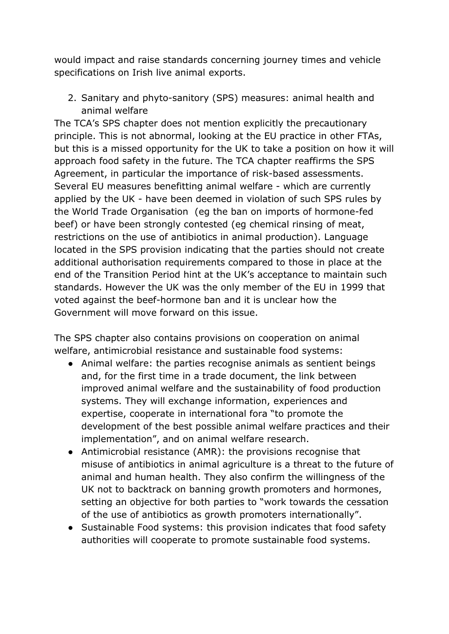would impact and raise standards concerning journey times and vehicle specifications on Irish live animal exports.

2. Sanitary and phyto-sanitory (SPS) measures: animal health and animal welfare

The TCA's SPS chapter does not mention explicitly the precautionary principle. This is not abnormal, looking at the EU practice in other FTAs, but this is a missed opportunity for the UK to take a position on how it will approach food safety in the future. The TCA chapter reaffirms the SPS Agreement, in particular the importance of risk-based assessments. Several EU measures benefitting animal welfare - which are currently applied by the UK - have been deemed in violation of such SPS rules by the World Trade Organisation (eg the ban on imports of hormone-fed beef) or have been strongly contested (eg chemical rinsing of meat, restrictions on the use of antibiotics in animal production). Language located in the SPS provision indicating that the parties should not create additional authorisation requirements compared to those in place at the end of the Transition Period hint at the UK's acceptance to maintain such standards. However the UK was the only member of the EU in 1999 that voted against the beef-hormone ban and it is unclear how the Government will move forward on this issue.

The SPS chapter also contains provisions on cooperation on animal welfare, antimicrobial resistance and sustainable food systems:

- Animal welfare: the parties recognise animals as sentient beings and, for the first time in a trade document, the link between improved animal welfare and the sustainability of food production systems. They will exchange information, experiences and expertise, cooperate in international fora "to promote the development of the best possible animal welfare practices and their implementation", and on animal welfare research.
- Antimicrobial resistance (AMR): the provisions recognise that misuse of antibiotics in animal agriculture is a threat to the future of animal and human health. They also confirm the willingness of the UK not to backtrack on banning growth promoters and hormones, setting an objective for both parties to "work towards the cessation of the use of antibiotics as growth promoters internationally".
- Sustainable Food systems: this provision indicates that food safety authorities will cooperate to promote sustainable food systems.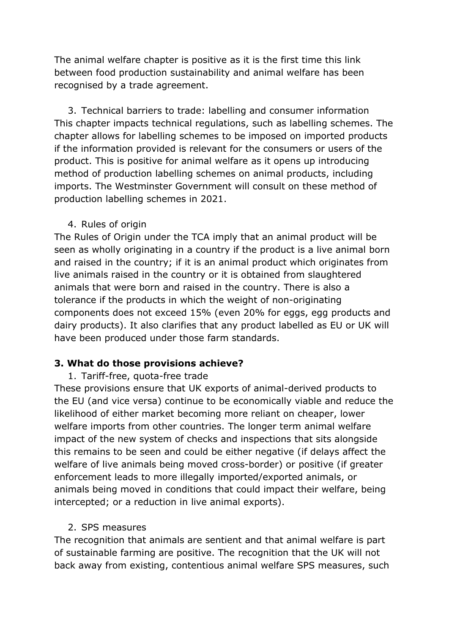The animal welfare chapter is positive as it is the first time this link between food production sustainability and animal welfare has been recognised by a trade agreement.

3. Technical barriers to trade: labelling and consumer information This chapter impacts technical regulations, such as labelling schemes. The chapter allows for labelling schemes to be imposed on imported products if the information provided is relevant for the consumers or users of the product. This is positive for animal welfare as it opens up introducing method of production labelling schemes on animal products, including imports. The Westminster Government will consult on these method of production labelling schemes in 2021.

#### 4. Rules of origin

The Rules of Origin under the TCA imply that an animal product will be seen as wholly originating in a country if the product is a live animal born and raised in the country; if it is an animal product which originates from live animals raised in the country or it is obtained from slaughtered animals that were born and raised in the country. There is also a tolerance if the products in which the weight of non-originating components does not exceed 15% (even 20% for eggs, egg products and dairy products). It also clarifies that any product labelled as EU or UK will have been produced under those farm standards.

#### **3. What do those provisions achieve?**

#### 1. Tariff-free, quota-free trade

These provisions ensure that UK exports of animal-derived products to the EU (and vice versa) continue to be economically viable and reduce the likelihood of either market becoming more reliant on cheaper, lower welfare imports from other countries. The longer term animal welfare impact of the new system of checks and inspections that sits alongside this remains to be seen and could be either negative (if delays affect the welfare of live animals being moved cross-border) or positive (if greater enforcement leads to more illegally imported/exported animals, or animals being moved in conditions that could impact their welfare, being intercepted; or a reduction in live animal exports).

#### 2. SPS measures

The recognition that animals are sentient and that animal welfare is part of sustainable farming are positive. The recognition that the UK will not back away from existing, contentious animal welfare SPS measures, such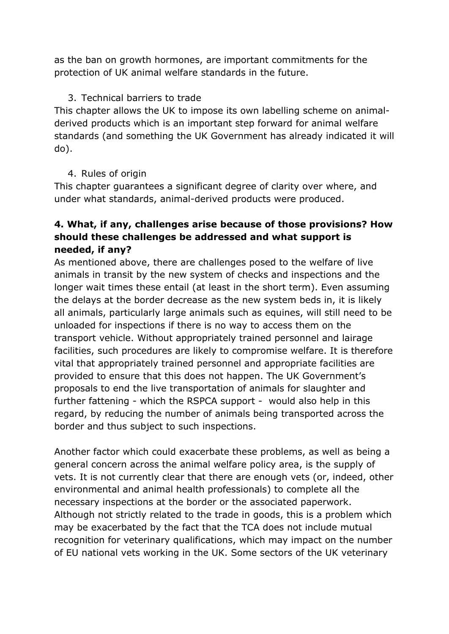as the ban on growth hormones, are important commitments for the protection of UK animal welfare standards in the future.

## 3. Technical barriers to trade

This chapter allows the UK to impose its own labelling scheme on animalderived products which is an important step forward for animal welfare standards (and something the UK Government has already indicated it will do).

#### 4. Rules of origin

This chapter guarantees a significant degree of clarity over where, and under what standards, animal-derived products were produced.

# **4. What, if any, challenges arise because of those provisions? How should these challenges be addressed and what support is needed, if any?**

As mentioned above, there are challenges posed to the welfare of live animals in transit by the new system of checks and inspections and the longer wait times these entail (at least in the short term). Even assuming the delays at the border decrease as the new system beds in, it is likely all animals, particularly large animals such as equines, will still need to be unloaded for inspections if there is no way to access them on the transport vehicle. Without appropriately trained personnel and lairage facilities, such procedures are likely to compromise welfare. It is therefore vital that appropriately trained personnel and appropriate facilities are provided to ensure that this does not happen. The UK Government's proposals to end the live transportation of animals for slaughter and further fattening - which the RSPCA support - would also help in this regard, by reducing the number of animals being transported across the border and thus subject to such inspections.

Another factor which could exacerbate these problems, as well as being a general concern across the animal welfare policy area, is the supply of vets. It is not currently clear that there are enough vets (or, indeed, other environmental and animal health professionals) to complete all the necessary inspections at the border or the associated paperwork. Although not strictly related to the trade in goods, this is a problem which may be exacerbated by the fact that the TCA does not include mutual recognition for veterinary qualifications, which may impact on the number of EU national vets working in the UK. Some sectors of the UK veterinary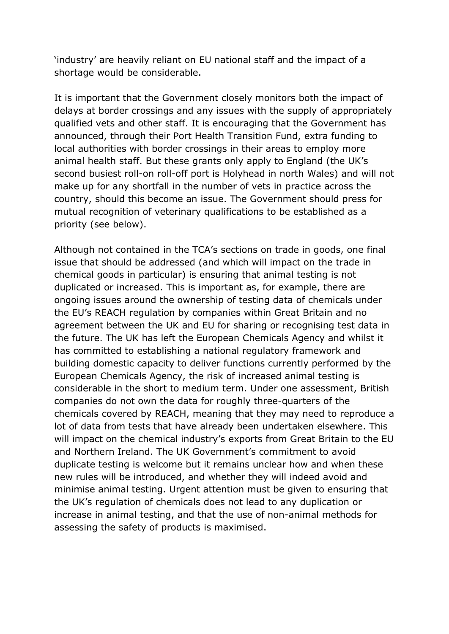'industry' are heavily reliant on EU national staff and the impact of a shortage would be considerable.

It is important that the Government closely monitors both the impact of delays at border crossings and any issues with the supply of appropriately qualified vets and other staff. It is encouraging that the Government has announced, through their Port Health Transition Fund, extra funding to local authorities with border crossings in their areas to employ more animal health staff. But these grants only apply to England (the UK's second busiest roll-on roll-off port is Holyhead in north Wales) and will not make up for any shortfall in the number of vets in practice across the country, should this become an issue. The Government should press for mutual recognition of veterinary qualifications to be established as a priority (see below).

Although not contained in the TCA's sections on trade in goods, one final issue that should be addressed (and which will impact on the trade in chemical goods in particular) is ensuring that animal testing is not duplicated or increased. This is important as, for example, there are ongoing issues around the ownership of testing data of chemicals under the EU's REACH regulation by companies within Great Britain and no agreement between the UK and EU for sharing or recognising test data in the future. The UK has left the European Chemicals Agency and whilst it has committed to establishing a national regulatory framework and building domestic capacity to deliver functions currently performed by the European Chemicals Agency, the risk of increased animal testing is considerable in the short to medium term. Under one assessment, British companies do not own the data for roughly three-quarters of the chemicals covered by REACH, meaning that they may need to reproduce a lot of data from tests that have already been undertaken elsewhere. This will impact on the chemical industry's exports from Great Britain to the EU and Northern Ireland. The UK Government's commitment to avoid duplicate testing is welcome but it remains unclear how and when these new rules will be introduced, and whether they will indeed avoid and minimise animal testing. Urgent attention must be given to ensuring that the UK's regulation of chemicals does not lead to any duplication or increase in animal testing, and that the use of non-animal methods for assessing the safety of products is maximised.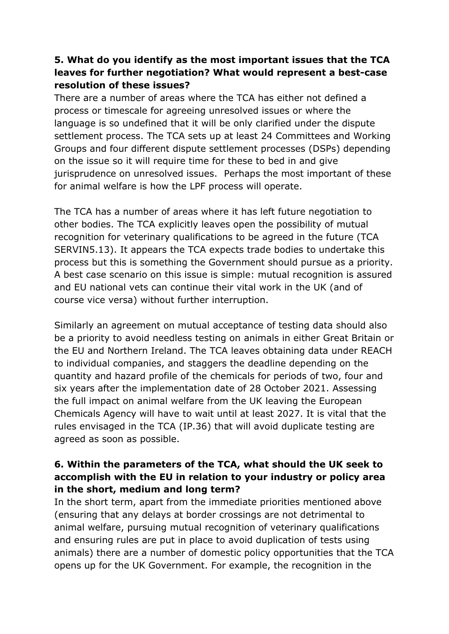# **5. What do you identify as the most important issues that the TCA leaves for further negotiation? What would represent a best-case resolution of these issues?**

There are a number of areas where the TCA has either not defined a process or timescale for agreeing unresolved issues or where the language is so undefined that it will be only clarified under the dispute settlement process. The TCA sets up at least 24 Committees and Working Groups and four different dispute settlement processes (DSPs) depending on the issue so it will require time for these to bed in and give jurisprudence on unresolved issues. Perhaps the most important of these for animal welfare is how the LPF process will operate.

The TCA has a number of areas where it has left future negotiation to other bodies. The TCA explicitly leaves open the possibility of mutual recognition for veterinary qualifications to be agreed in the future (TCA SERVIN5.13). It appears the TCA expects trade bodies to undertake this process but this is something the Government should pursue as a priority. A best case scenario on this issue is simple: mutual recognition is assured and EU national vets can continue their vital work in the UK (and of course vice versa) without further interruption.

Similarly an agreement on mutual acceptance of testing data should also be a priority to avoid needless testing on animals in either Great Britain or the EU and Northern Ireland. The TCA leaves obtaining data under REACH to individual companies, and staggers the deadline depending on the quantity and hazard profile of the chemicals for periods of two, four and six years after the implementation date of 28 October 2021. Assessing the full impact on animal welfare from the UK leaving the European Chemicals Agency will have to wait until at least 2027. It is vital that the rules envisaged in the TCA (IP.36) that will avoid duplicate testing are agreed as soon as possible.

## **6. Within the parameters of the TCA, what should the UK seek to accomplish with the EU in relation to your industry or policy area in the short, medium and long term?**

In the short term, apart from the immediate priorities mentioned above (ensuring that any delays at border crossings are not detrimental to animal welfare, pursuing mutual recognition of veterinary qualifications and ensuring rules are put in place to avoid duplication of tests using animals) there are a number of domestic policy opportunities that the TCA opens up for the UK Government. For example, the recognition in the